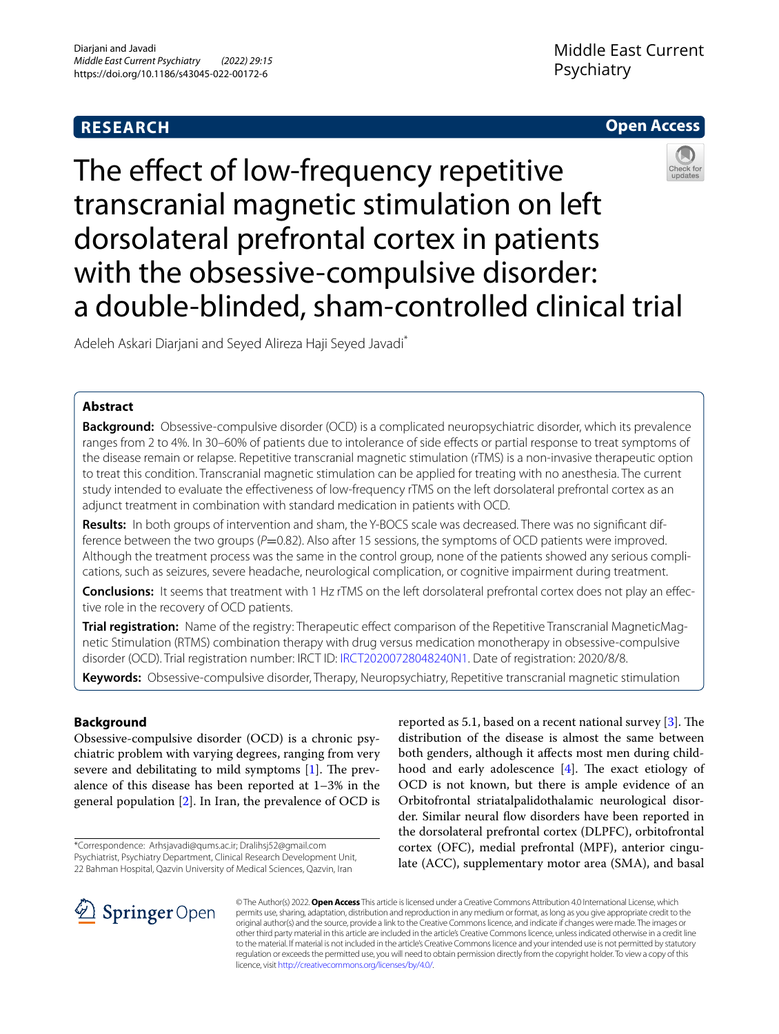## **RESEARCH**





# The effect of low-frequency repetitive transcranial magnetic stimulation on left dorsolateral prefrontal cortex in patients with the obsessive-compulsive disorder: a double-blinded, sham-controlled clinical trial

Adeleh Askari Diarjani and Seyed Alireza Haji Seyed Javadi\*

## **Abstract**

**Background:** Obsessive-compulsive disorder (OCD) is a complicated neuropsychiatric disorder, which its prevalence ranges from 2 to 4%. In 30–60% of patients due to intolerance of side effects or partial response to treat symptoms of the disease remain or relapse. Repetitive transcranial magnetic stimulation (rTMS) is a non-invasive therapeutic option to treat this condition. Transcranial magnetic stimulation can be applied for treating with no anesthesia. The current study intended to evaluate the efectiveness of low-frequency rTMS on the left dorsolateral prefrontal cortex as an adjunct treatment in combination with standard medication in patients with OCD.

**Results:** In both groups of intervention and sham, the Y-BOCS scale was decreased. There was no signifcant difference between the two groups (*P*=0.82). Also after 15 sessions, the symptoms of OCD patients were improved. Although the treatment process was the same in the control group, none of the patients showed any serious complications, such as seizures, severe headache, neurological complication, or cognitive impairment during treatment.

**Conclusions:** It seems that treatment with 1 Hz rTMS on the left dorsolateral prefrontal cortex does not play an effective role in the recovery of OCD patients.

**Trial registration:** Name of the registry: Therapeutic efect comparison of the Repetitive Transcranial MagneticMagnetic Stimulation (RTMS) combination therapy with drug versus medication monotherapy in obsessive-compulsive disorder (OCD). Trial registration number: IRCT ID: [IRCT20200728048240N1.](https://en.irct.ir/search/result?query=IRCT20200728048240N1) Date of registration: 2020/8/8.

**Keywords:** Obsessive-compulsive disorder, Therapy, Neuropsychiatry, Repetitive transcranial magnetic stimulation

### **Background**

Obsessive-compulsive disorder (OCD) is a chronic psychiatric problem with varying degrees, ranging from very severe and debilitating to mild symptoms  $[1]$  $[1]$ . The prevalence of this disease has been reported at 1–3% in the general population [[2\]](#page-4-1). In Iran, the prevalence of OCD is

\*Correspondence: Arhsjavadi@qums.ac.ir; Dralihsj52@gmail.com Psychiatrist, Psychiatry Department, Clinical Research Development Unit, 22 Bahman Hospital, Qazvin University of Medical Sciences, Qazvin, Iran

reported as 5.1, based on a recent national survey  $[3]$  $[3]$ . The distribution of the disease is almost the same between both genders, although it afects most men during childhood and early adolescence  $[4]$  $[4]$ . The exact etiology of OCD is not known, but there is ample evidence of an Orbitofrontal striatalpalidothalamic neurological disorder. Similar neural fow disorders have been reported in the dorsolateral prefrontal cortex (DLPFC), orbitofrontal cortex (OFC), medial prefrontal (MPF), anterior cingulate (ACC), supplementary motor area (SMA), and basal



© The Author(s) 2022. **Open Access** This article is licensed under a Creative Commons Attribution 4.0 International License, which permits use, sharing, adaptation, distribution and reproduction in any medium or format, as long as you give appropriate credit to the original author(s) and the source, provide a link to the Creative Commons licence, and indicate if changes were made. The images or other third party material in this article are included in the article's Creative Commons licence, unless indicated otherwise in a credit line to the material. If material is not included in the article's Creative Commons licence and your intended use is not permitted by statutory regulation or exceeds the permitted use, you will need to obtain permission directly from the copyright holder. To view a copy of this licence, visit [http://creativecommons.org/licenses/by/4.0/.](http://creativecommons.org/licenses/by/4.0/)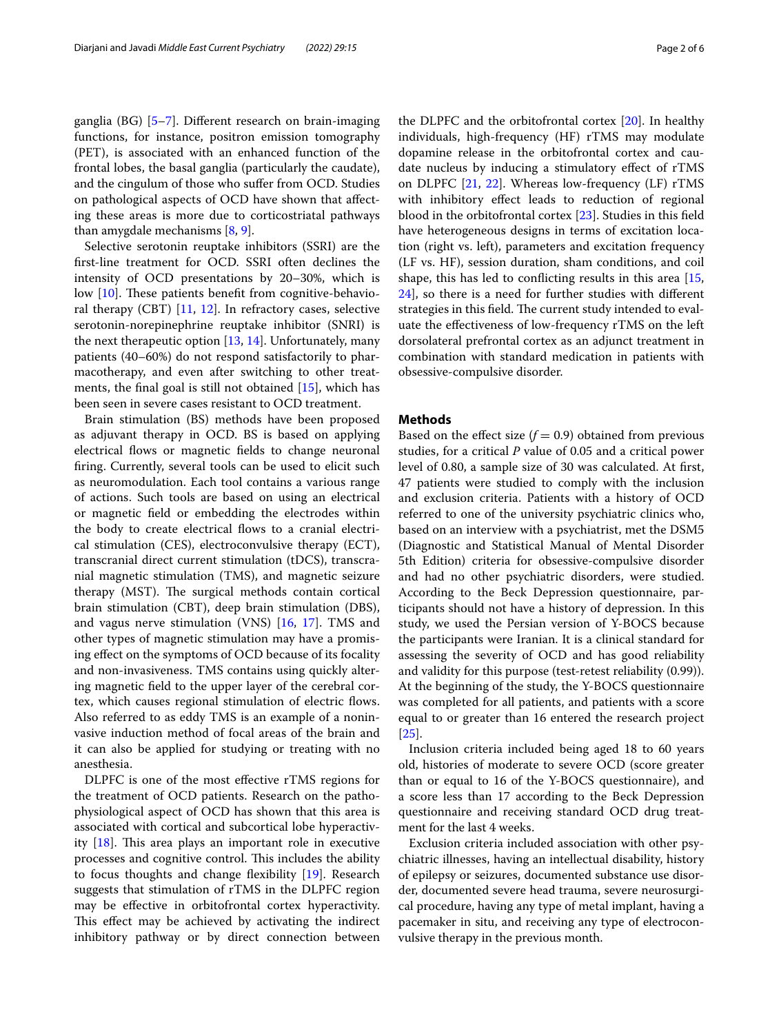ganglia (BG) [[5–](#page-4-4)[7\]](#page-4-5). Diferent research on brain-imaging functions, for instance, positron emission tomography (PET), is associated with an enhanced function of the frontal lobes, the basal ganglia (particularly the caudate), and the cingulum of those who sufer from OCD. Studies on pathological aspects of OCD have shown that afecting these areas is more due to corticostriatal pathways than amygdale mechanisms [[8,](#page-4-6) [9](#page-4-7)].

Selective serotonin reuptake inhibitors (SSRI) are the frst-line treatment for OCD. SSRI often declines the intensity of OCD presentations by 20–30%, which is low  $[10]$  $[10]$ . These patients benefit from cognitive-behavioral therapy (CBT)  $[11, 12]$  $[11, 12]$  $[11, 12]$  $[11, 12]$  $[11, 12]$ . In refractory cases, selective serotonin-norepinephrine reuptake inhibitor (SNRI) is the next therapeutic option [\[13](#page-4-11), [14\]](#page-4-12). Unfortunately, many patients (40–60%) do not respond satisfactorily to pharmacotherapy, and even after switching to other treatments, the fnal goal is still not obtained [[15\]](#page-4-13), which has been seen in severe cases resistant to OCD treatment.

Brain stimulation (BS) methods have been proposed as adjuvant therapy in OCD. BS is based on applying electrical flows or magnetic fields to change neuronal fring. Currently, several tools can be used to elicit such as neuromodulation. Each tool contains a various range of actions. Such tools are based on using an electrical or magnetic feld or embedding the electrodes within the body to create electrical fows to a cranial electrical stimulation (CES), electroconvulsive therapy (ECT), transcranial direct current stimulation (tDCS), transcranial magnetic stimulation (TMS), and magnetic seizure therapy (MST). The surgical methods contain cortical brain stimulation (CBT), deep brain stimulation (DBS), and vagus nerve stimulation (VNS) [[16,](#page-4-14) [17\]](#page-4-15). TMS and other types of magnetic stimulation may have a promising efect on the symptoms of OCD because of its focality and non-invasiveness. TMS contains using quickly altering magnetic feld to the upper layer of the cerebral cortex, which causes regional stimulation of electric fows. Also referred to as eddy TMS is an example of a noninvasive induction method of focal areas of the brain and it can also be applied for studying or treating with no anesthesia.

DLPFC is one of the most efective rTMS regions for the treatment of OCD patients. Research on the pathophysiological aspect of OCD has shown that this area is associated with cortical and subcortical lobe hyperactivity  $[18]$  $[18]$ . This area plays an important role in executive processes and cognitive control. This includes the ability to focus thoughts and change fexibility [\[19\]](#page-4-17). Research suggests that stimulation of rTMS in the DLPFC region may be efective in orbitofrontal cortex hyperactivity. This effect may be achieved by activating the indirect inhibitory pathway or by direct connection between the DLPFC and the orbitofrontal cortex [[20\]](#page-4-18). In healthy individuals, high-frequency (HF) rTMS may modulate dopamine release in the orbitofrontal cortex and caudate nucleus by inducing a stimulatory efect of rTMS on DLPFC [[21,](#page-4-19) [22](#page-4-20)]. Whereas low-frequency (LF) rTMS with inhibitory efect leads to reduction of regional blood in the orbitofrontal cortex [\[23\]](#page-4-21). Studies in this feld have heterogeneous designs in terms of excitation location (right vs. left), parameters and excitation frequency (LF vs. HF), session duration, sham conditions, and coil shape, this has led to conficting results in this area [[15](#page-4-13), [24\]](#page-4-22), so there is a need for further studies with diferent strategies in this field. The current study intended to evaluate the efectiveness of low-frequency rTMS on the left dorsolateral prefrontal cortex as an adjunct treatment in combination with standard medication in patients with obsessive-compulsive disorder.

#### **Methods**

Based on the effect size  $(f = 0.9)$  obtained from previous studies, for a critical *P* value of 0.05 and a critical power level of 0.80, a sample size of 30 was calculated. At frst, 47 patients were studied to comply with the inclusion and exclusion criteria. Patients with a history of OCD referred to one of the university psychiatric clinics who, based on an interview with a psychiatrist, met the DSM5 (Diagnostic and Statistical Manual of Mental Disorder 5th Edition) criteria for obsessive-compulsive disorder and had no other psychiatric disorders, were studied. According to the Beck Depression questionnaire, participants should not have a history of depression. In this study, we used the Persian version of Y-BOCS because the participants were Iranian. It is a clinical standard for assessing the severity of OCD and has good reliability and validity for this purpose (test-retest reliability (0.99)). At the beginning of the study, the Y-BOCS questionnaire was completed for all patients, and patients with a score equal to or greater than 16 entered the research project [[25\]](#page-4-23).

Inclusion criteria included being aged 18 to 60 years old, histories of moderate to severe OCD (score greater than or equal to 16 of the Y-BOCS questionnaire), and a score less than 17 according to the Beck Depression questionnaire and receiving standard OCD drug treatment for the last 4 weeks.

Exclusion criteria included association with other psychiatric illnesses, having an intellectual disability, history of epilepsy or seizures, documented substance use disorder, documented severe head trauma, severe neurosurgical procedure, having any type of metal implant, having a pacemaker in situ, and receiving any type of electroconvulsive therapy in the previous month.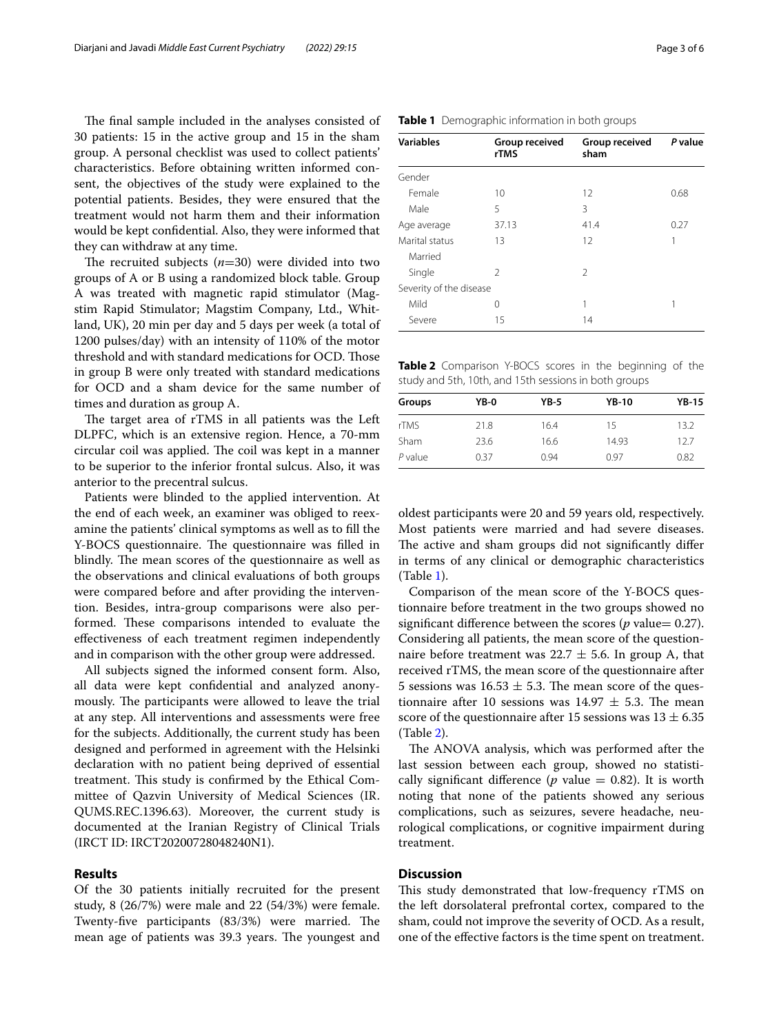The final sample included in the analyses consisted of 30 patients: 15 in the active group and 15 in the sham group. A personal checklist was used to collect patients' characteristics. Before obtaining written informed consent, the objectives of the study were explained to the potential patients. Besides, they were ensured that the treatment would not harm them and their information would be kept confdential. Also, they were informed that they can withdraw at any time.

The recruited subjects  $(n=30)$  were divided into two groups of A or B using a randomized block table. Group A was treated with magnetic rapid stimulator (Magstim Rapid Stimulator; Magstim Company, Ltd., Whitland, UK), 20 min per day and 5 days per week (a total of 1200 pulses/day) with an intensity of 110% of the motor threshold and with standard medications for OCD. Those in group B were only treated with standard medications for OCD and a sham device for the same number of times and duration as group A.

The target area of rTMS in all patients was the Left DLPFC, which is an extensive region. Hence, a 70-mm circular coil was applied. The coil was kept in a manner to be superior to the inferior frontal sulcus. Also, it was anterior to the precentral sulcus.

Patients were blinded to the applied intervention. At the end of each week, an examiner was obliged to reexamine the patients' clinical symptoms as well as to fll the Y-BOCS questionnaire. The questionnaire was filled in blindly. The mean scores of the questionnaire as well as the observations and clinical evaluations of both groups were compared before and after providing the intervention. Besides, intra-group comparisons were also performed. These comparisons intended to evaluate the efectiveness of each treatment regimen independently and in comparison with the other group were addressed.

All subjects signed the informed consent form. Also, all data were kept confdential and analyzed anonymously. The participants were allowed to leave the trial at any step. All interventions and assessments were free for the subjects. Additionally, the current study has been designed and performed in agreement with the Helsinki declaration with no patient being deprived of essential treatment. This study is confirmed by the Ethical Committee of Qazvin University of Medical Sciences (IR. QUMS.REC.1396.63). Moreover, the current study is documented at the Iranian Registry of Clinical Trials (IRCT ID: IRCT20200728048240N1).

#### **Results**

Of the 30 patients initially recruited for the present study, 8 (26/7%) were male and 22 (54/3%) were female. Twenty-five participants (83/3%) were married. The mean age of patients was 39.3 years. The youngest and

| <b>Variables</b>        | Group received<br>rTMS | Group received<br>sham | P value |
|-------------------------|------------------------|------------------------|---------|
| Gender                  |                        |                        |         |
| Female                  | 10                     | 12                     | 0.68    |
| Male                    | 5                      | 3                      |         |
| Age average             | 37.13                  | 41.4                   | 0.27    |
| Marital status          | 13                     | 12                     | 1       |
| Married                 |                        |                        |         |
| Single                  | 2                      | $\overline{2}$         |         |
| Severity of the disease |                        |                        |         |
| Mild                    | 0                      | 1                      | 1       |
| Severe                  | 15                     | 14                     |         |

<span id="page-2-1"></span>**Table 2** Comparison Y-BOCS scores in the beginning of the study and 5th, 10th, and 15th sessions in both groups

| Groups  | YB-0 | $YB-5$ | <b>YB-10</b> | <b>YB-15</b> |
|---------|------|--------|--------------|--------------|
| rTMS    | 21.8 | 16.4   | 15           | 13.2         |
| Sham    | 23.6 | 16.6   | 14.93        | 12.7         |
| P value | 0.37 | 0.94   | O 97         | 0.82         |

oldest participants were 20 and 59 years old, respectively. Most patients were married and had severe diseases. The active and sham groups did not significantly differ in terms of any clinical or demographic characteristics (Table [1\)](#page-2-0).

Comparison of the mean score of the Y-BOCS questionnaire before treatment in the two groups showed no significant difference between the scores ( $p$  value= 0.27). Considering all patients, the mean score of the questionnaire before treatment was 22.7  $\pm$  5.6. In group A, that received rTMS, the mean score of the questionnaire after 5 sessions was  $16.53 \pm 5.3$ . The mean score of the questionnaire after 10 sessions was  $14.97 \pm 5.3$ . The mean score of the questionnaire after 15 sessions was  $13 \pm 6.35$ (Table [2\)](#page-2-1).

The ANOVA analysis, which was performed after the last session between each group, showed no statistically significant difference ( $p$  value  $= 0.82$ ). It is worth noting that none of the patients showed any serious complications, such as seizures, severe headache, neurological complications, or cognitive impairment during treatment.

#### **Discussion**

This study demonstrated that low-frequency rTMS on the left dorsolateral prefrontal cortex, compared to the sham, could not improve the severity of OCD. As a result, one of the efective factors is the time spent on treatment.

<span id="page-2-0"></span>

|  | Table 1 Demographic information in both groups |  |
|--|------------------------------------------------|--|
|--|------------------------------------------------|--|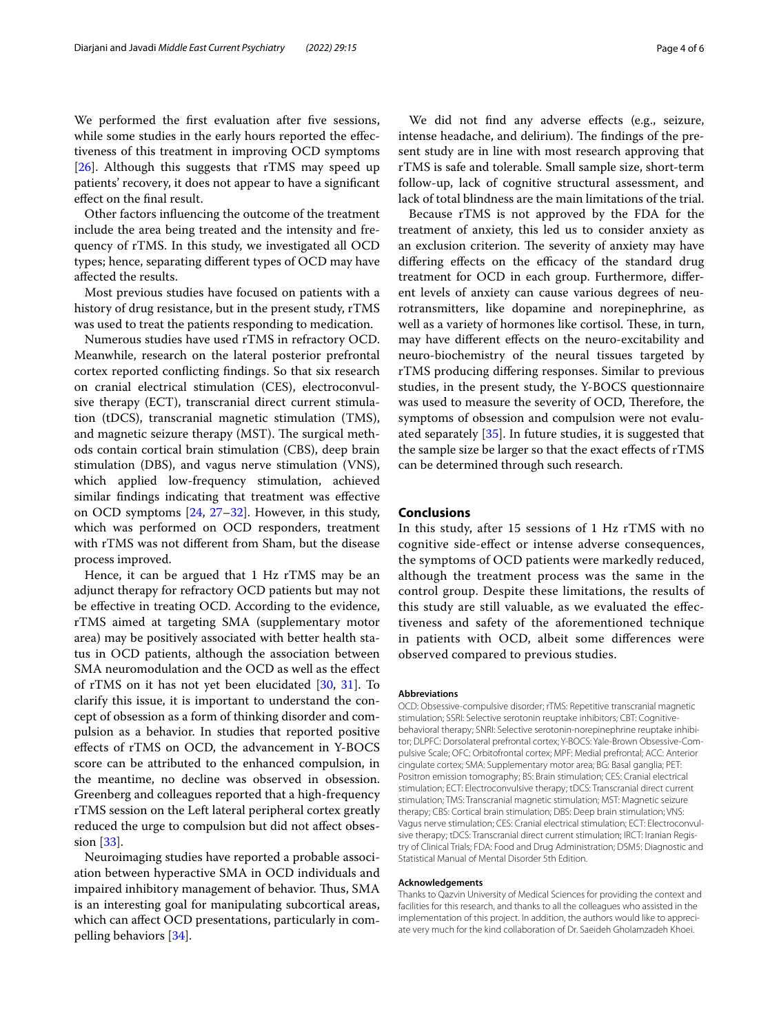We performed the first evaluation after five sessions, while some studies in the early hours reported the effectiveness of this treatment in improving OCD symptoms [[26\]](#page-4-24). Although this suggests that rTMS may speed up patients' recovery, it does not appear to have a signifcant efect on the fnal result.

Other factors infuencing the outcome of the treatment include the area being treated and the intensity and frequency of rTMS. In this study, we investigated all OCD types; hence, separating diferent types of OCD may have afected the results.

Most previous studies have focused on patients with a history of drug resistance, but in the present study, rTMS was used to treat the patients responding to medication.

Numerous studies have used rTMS in refractory OCD. Meanwhile, research on the lateral posterior prefrontal cortex reported conficting fndings. So that six research on cranial electrical stimulation (CES), electroconvulsive therapy (ECT), transcranial direct current stimulation (tDCS), transcranial magnetic stimulation (TMS), and magnetic seizure therapy (MST). The surgical methods contain cortical brain stimulation (CBS), deep brain stimulation (DBS), and vagus nerve stimulation (VNS), which applied low-frequency stimulation, achieved similar fndings indicating that treatment was efective on OCD symptoms [[24,](#page-4-22) [27](#page-4-25)[–32](#page-5-0)]. However, in this study, which was performed on OCD responders, treatment with rTMS was not diferent from Sham, but the disease process improved.

Hence, it can be argued that 1 Hz rTMS may be an adjunct therapy for refractory OCD patients but may not be efective in treating OCD. According to the evidence, rTMS aimed at targeting SMA (supplementary motor area) may be positively associated with better health status in OCD patients, although the association between SMA neuromodulation and the OCD as well as the efect of rTMS on it has not yet been elucidated [[30,](#page-5-1) [31\]](#page-5-2). To clarify this issue, it is important to understand the concept of obsession as a form of thinking disorder and compulsion as a behavior. In studies that reported positive efects of rTMS on OCD, the advancement in Y-BOCS score can be attributed to the enhanced compulsion, in the meantime, no decline was observed in obsession. Greenberg and colleagues reported that a high-frequency rTMS session on the Left lateral peripheral cortex greatly reduced the urge to compulsion but did not afect obsession [\[33](#page-5-3)].

Neuroimaging studies have reported a probable association between hyperactive SMA in OCD individuals and impaired inhibitory management of behavior. Thus, SMA is an interesting goal for manipulating subcortical areas, which can afect OCD presentations, particularly in compelling behaviors [[34](#page-5-4)].

We did not find any adverse effects (e.g., seizure, intense headache, and delirium). The findings of the present study are in line with most research approving that rTMS is safe and tolerable. Small sample size, short-term follow-up, lack of cognitive structural assessment, and lack of total blindness are the main limitations of the trial.

Because rTMS is not approved by the FDA for the treatment of anxiety, this led us to consider anxiety as an exclusion criterion. The severity of anxiety may have differing effects on the efficacy of the standard drug treatment for OCD in each group. Furthermore, diferent levels of anxiety can cause various degrees of neurotransmitters, like dopamine and norepinephrine, as well as a variety of hormones like cortisol. These, in turn, may have diferent efects on the neuro-excitability and neuro-biochemistry of the neural tissues targeted by rTMS producing difering responses. Similar to previous studies, in the present study, the Y-BOCS questionnaire was used to measure the severity of OCD, Therefore, the symptoms of obsession and compulsion were not evaluated separately [[35](#page-5-5)]. In future studies, it is suggested that the sample size be larger so that the exact efects of rTMS can be determined through such research.

#### **Conclusions**

In this study, after 15 sessions of 1 Hz rTMS with no cognitive side-efect or intense adverse consequences, the symptoms of OCD patients were markedly reduced, although the treatment process was the same in the control group. Despite these limitations, the results of this study are still valuable, as we evaluated the efectiveness and safety of the aforementioned technique in patients with OCD, albeit some diferences were observed compared to previous studies.

#### **Abbreviations**

OCD: Obsessive-compulsive disorder; rTMS: Repetitive transcranial magnetic stimulation; SSRI: Selective serotonin reuptake inhibitors; CBT: Cognitivebehavioral therapy; SNRI: Selective serotonin-norepinephrine reuptake inhibitor; DLPFC: Dorsolateral prefrontal cortex; Y-BOCS: Yale-Brown Obsessive-Compulsive Scale; OFC: Orbitofrontal cortex; MPF: Medial prefrontal; ACC: Anterior cingulate cortex; SMA: Supplementary motor area; BG: Basal ganglia; PET: Positron emission tomography; BS: Brain stimulation; CES: Cranial electrical stimulation; ECT: Electroconvulsive therapy; tDCS: Transcranial direct current stimulation; TMS: Transcranial magnetic stimulation; MST: Magnetic seizure therapy; CBS: Cortical brain stimulation; DBS: Deep brain stimulation; VNS: Vagus nerve stimulation; CES: Cranial electrical stimulation; ECT: Electroconvulsive therapy; tDCS: Transcranial direct current stimulation; IRCT: Iranian Registry of Clinical Trials; FDA: Food and Drug Administration; DSM5: Diagnostic and Statistical Manual of Mental Disorder 5th Edition.

#### **Acknowledgements**

Thanks to Qazvin University of Medical Sciences for providing the context and facilities for this research, and thanks to all the colleagues who assisted in the implementation of this project. In addition, the authors would like to appreciate very much for the kind collaboration of Dr. Saeideh Gholamzadeh Khoei.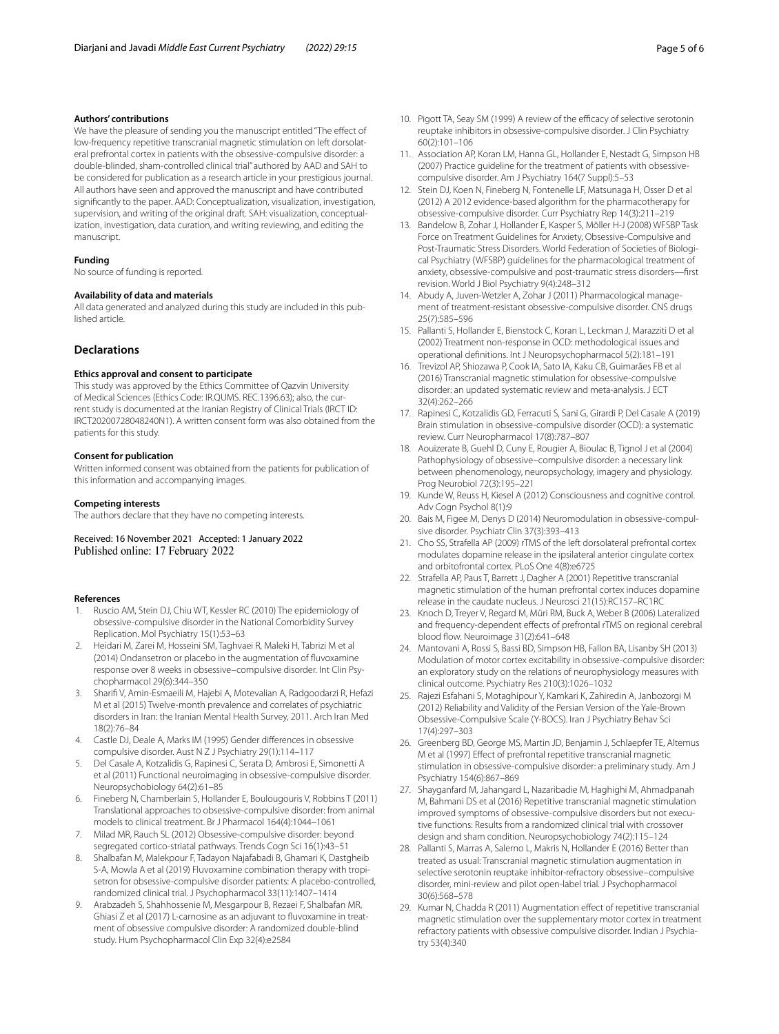#### **Authors' contributions**

We have the pleasure of sending you the manuscript entitled "The effect of low-frequency repetitive transcranial magnetic stimulation on left dorsolateral prefrontal cortex in patients with the obsessive-compulsive disorder: a double-blinded, sham-controlled clinical trial" authored by AAD and SAH to be considered for publication as a research article in your prestigious journal. All authors have seen and approved the manuscript and have contributed signifcantly to the paper. AAD: Conceptualization, visualization, investigation, supervision, and writing of the original draft. SAH: visualization, conceptualization, investigation, data curation, and writing reviewing, and editing the manuscript.

#### **Funding**

No source of funding is reported.

#### **Availability of data and materials**

All data generated and analyzed during this study are included in this published article.

#### **Declarations**

#### **Ethics approval and consent to participate**

This study was approved by the Ethics Committee of Qazvin University of Medical Sciences (Ethics Code: IR.QUMS. REC.1396.63); also, the current study is documented at the Iranian Registry of Clinical Trials (IRCT ID: IRCT20200728048240N1). A written consent form was also obtained from the patients for this study.

#### **Consent for publication**

Written informed consent was obtained from the patients for publication of this information and accompanying images.

#### **Competing interests**

The authors declare that they have no competing interests.

Received: 16 November 2021 Accepted: 1 January 2022 Published online: 17 February 2022

#### **References**

- <span id="page-4-0"></span>1. Ruscio AM, Stein DJ, Chiu WT, Kessler RC (2010) The epidemiology of obsessive-compulsive disorder in the National Comorbidity Survey Replication. Mol Psychiatry 15(1):53–63
- <span id="page-4-1"></span>2. Heidari M, Zarei M, Hosseini SM, Taghvaei R, Maleki H, Tabrizi M et al (2014) Ondansetron or placebo in the augmentation of fuvoxamine response over 8 weeks in obsessive–compulsive disorder. Int Clin Psychopharmacol 29(6):344–350
- <span id="page-4-2"></span>3. Sharif V, Amin-Esmaeili M, Hajebi A, Motevalian A, Radgoodarzi R, Hefazi M et al (2015) Twelve-month prevalence and correlates of psychiatric disorders in Iran: the Iranian Mental Health Survey, 2011. Arch Iran Med 18(2):76–84
- <span id="page-4-3"></span>4. Castle DJ, Deale A, Marks IM (1995) Gender diferences in obsessive compulsive disorder. Aust N Z J Psychiatry 29(1):114–117
- <span id="page-4-4"></span>5. Del Casale A, Kotzalidis G, Rapinesi C, Serata D, Ambrosi E, Simonetti A et al (2011) Functional neuroimaging in obsessive-compulsive disorder. Neuropsychobiology 64(2):61–85
- 6. Fineberg N, Chamberlain S, Hollander E, Boulougouris V, Robbins T (2011) Translational approaches to obsessive-compulsive disorder: from animal models to clinical treatment. Br J Pharmacol 164(4):1044–1061
- <span id="page-4-5"></span>7. Milad MR, Rauch SL (2012) Obsessive-compulsive disorder: beyond segregated cortico-striatal pathways. Trends Cogn Sci 16(1):43–51
- <span id="page-4-6"></span>8. Shalbafan M, Malekpour F, Tadayon Najafabadi B, Ghamari K, Dastgheib S-A, Mowla A et al (2019) Fluvoxamine combination therapy with tropisetron for obsessive-compulsive disorder patients: A placebo-controlled, randomized clinical trial. J Psychopharmacol 33(11):1407–1414
- <span id="page-4-7"></span>9. Arabzadeh S, Shahhossenie M, Mesgarpour B, Rezaei F, Shalbafan MR, Ghiasi Z et al (2017) L-carnosine as an adjuvant to fuvoxamine in treatment of obsessive compulsive disorder: A randomized double-blind study. Hum Psychopharmacol Clin Exp 32(4):e2584
- <span id="page-4-8"></span>10. Pigott TA, Seay SM (1999) A review of the efficacy of selective serotonin reuptake inhibitors in obsessive-compulsive disorder. J Clin Psychiatry 60(2):101–106
- <span id="page-4-9"></span>11. Association AP, Koran LM, Hanna GL, Hollander E, Nestadt G, Simpson HB (2007) Practice guideline for the treatment of patients with obsessivecompulsive disorder. Am J Psychiatry 164(7 Suppl):5–53
- <span id="page-4-10"></span>12. Stein DJ, Koen N, Fineberg N, Fontenelle LF, Matsunaga H, Osser D et al (2012) A 2012 evidence-based algorithm for the pharmacotherapy for obsessive-compulsive disorder. Curr Psychiatry Rep 14(3):211–219
- <span id="page-4-11"></span>13. Bandelow B, Zohar J, Hollander E, Kasper S, Möller H-J (2008) WFSBP Task Force on Treatment Guidelines for Anxiety, Obsessive-Compulsive and Post-Traumatic Stress Disorders. World Federation of Societies of Biological Psychiatry (WFSBP) guidelines for the pharmacological treatment of anxiety, obsessive-compulsive and post-traumatic stress disorders—frst revision. World J Biol Psychiatry 9(4):248–312
- <span id="page-4-12"></span>14. Abudy A, Juven-Wetzler A, Zohar J (2011) Pharmacological management of treatment-resistant obsessive-compulsive disorder. CNS drugs 25(7):585–596
- <span id="page-4-13"></span>15. Pallanti S, Hollander E, Bienstock C, Koran L, Leckman J, Marazziti D et al (2002) Treatment non-response in OCD: methodological issues and operational defnitions. Int J Neuropsychopharmacol 5(2):181–191
- <span id="page-4-14"></span>16. Trevizol AP, Shiozawa P, Cook IA, Sato IA, Kaku CB, Guimarães FB et al (2016) Transcranial magnetic stimulation for obsessive-compulsive disorder: an updated systematic review and meta-analysis. J ECT 32(4):262–266
- <span id="page-4-15"></span>17. Rapinesi C, Kotzalidis GD, Ferracuti S, Sani G, Girardi P, Del Casale A (2019) Brain stimulation in obsessive-compulsive disorder (OCD): a systematic review. Curr Neuropharmacol 17(8):787–807
- <span id="page-4-16"></span>18. Aouizerate B, Guehl D, Cuny E, Rougier A, Bioulac B, Tignol J et al (2004) Pathophysiology of obsessive–compulsive disorder: a necessary link between phenomenology, neuropsychology, imagery and physiology. Prog Neurobiol 72(3):195–221
- <span id="page-4-17"></span>19. Kunde W, Reuss H, Kiesel A (2012) Consciousness and cognitive control. Adv Cogn Psychol 8(1):9
- <span id="page-4-18"></span>20. Bais M, Figee M, Denys D (2014) Neuromodulation in obsessive-compulsive disorder. Psychiatr Clin 37(3):393–413
- <span id="page-4-19"></span>21. Cho SS, Strafella AP (2009) rTMS of the left dorsolateral prefrontal cortex modulates dopamine release in the ipsilateral anterior cingulate cortex and orbitofrontal cortex. PLoS One 4(8):e6725
- <span id="page-4-20"></span>22. Strafella AP, Paus T, Barrett J, Dagher A (2001) Repetitive transcranial magnetic stimulation of the human prefrontal cortex induces dopamine release in the caudate nucleus. J Neurosci 21(15):RC157–RC1RC
- <span id="page-4-21"></span>23. Knoch D, Treyer V, Regard M, Müri RM, Buck A, Weber B (2006) Lateralized and frequency-dependent efects of prefrontal rTMS on regional cerebral blood flow. Neuroimage 31(2):641-648
- <span id="page-4-22"></span>24. Mantovani A, Rossi S, Bassi BD, Simpson HB, Fallon BA, Lisanby SH (2013) Modulation of motor cortex excitability in obsessive-compulsive disorder: an exploratory study on the relations of neurophysiology measures with clinical outcome. Psychiatry Res 210(3):1026–1032
- <span id="page-4-23"></span>25. Rajezi Esfahani S, Motaghipour Y, Kamkari K, Zahiredin A, Janbozorgi M (2012) Reliability and Validity of the Persian Version of the Yale-Brown Obsessive-Compulsive Scale (Y-BOCS). Iran J Psychiatry Behav Sci 17(4):297–303
- <span id="page-4-24"></span>26. Greenberg BD, George MS, Martin JD, Benjamin J, Schlaepfer TE, Altemus M et al (1997) Efect of prefrontal repetitive transcranial magnetic stimulation in obsessive-compulsive disorder: a preliminary study. Am J Psychiatry 154(6):867–869
- <span id="page-4-25"></span>27. Shayganfard M, Jahangard L, Nazaribadie M, Haghighi M, Ahmadpanah M, Bahmani DS et al (2016) Repetitive transcranial magnetic stimulation improved symptoms of obsessive-compulsive disorders but not executive functions: Results from a randomized clinical trial with crossover design and sham condition. Neuropsychobiology 74(2):115–124
- 28. Pallanti S, Marras A, Salerno L, Makris N, Hollander F (2016) Better than treated as usual: Transcranial magnetic stimulation augmentation in selective serotonin reuptake inhibitor-refractory obsessive–compulsive disorder, mini-review and pilot open-label trial. J Psychopharmacol 30(6):568–578
- 29. Kumar N, Chadda R (2011) Augmentation effect of repetitive transcranial magnetic stimulation over the supplementary motor cortex in treatment refractory patients with obsessive compulsive disorder. Indian J Psychiatry 53(4):340